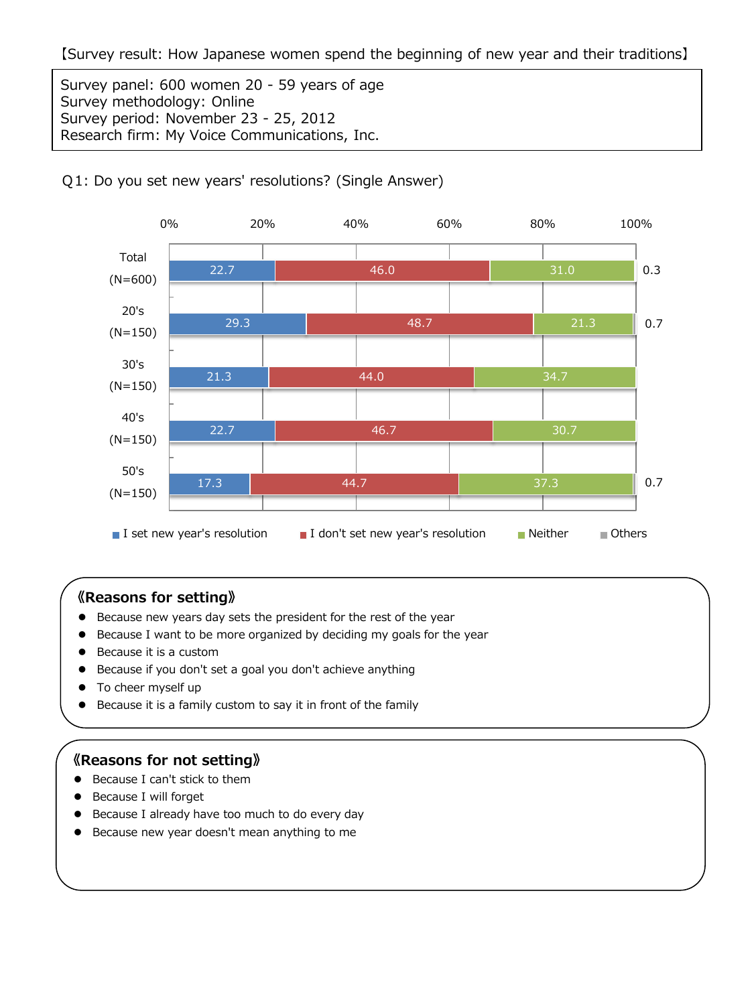Survey panel: 600 women 20 - 59 years of age Survey methodology: Online Survey period: November 23 - 25, 2012 Research firm: My Voice Communications, Inc.



## Q1: Do you set new years' resolutions? (Single Answer)

# **《Reasons for setting》**

- Because new years day sets the president for the rest of the year
- Because I want to be more organized by deciding my goals for the year
- Because it is a custom
- Because if you don't set a goal you don't achieve anything
- To cheer myself up
- Because it is a family custom to say it in front of the family

### **《Reasons for not setting》**

- Because I can't stick to them
- Because I will forget
- **•** Because I already have too much to do every day
- **•** Because new year doesn't mean anything to me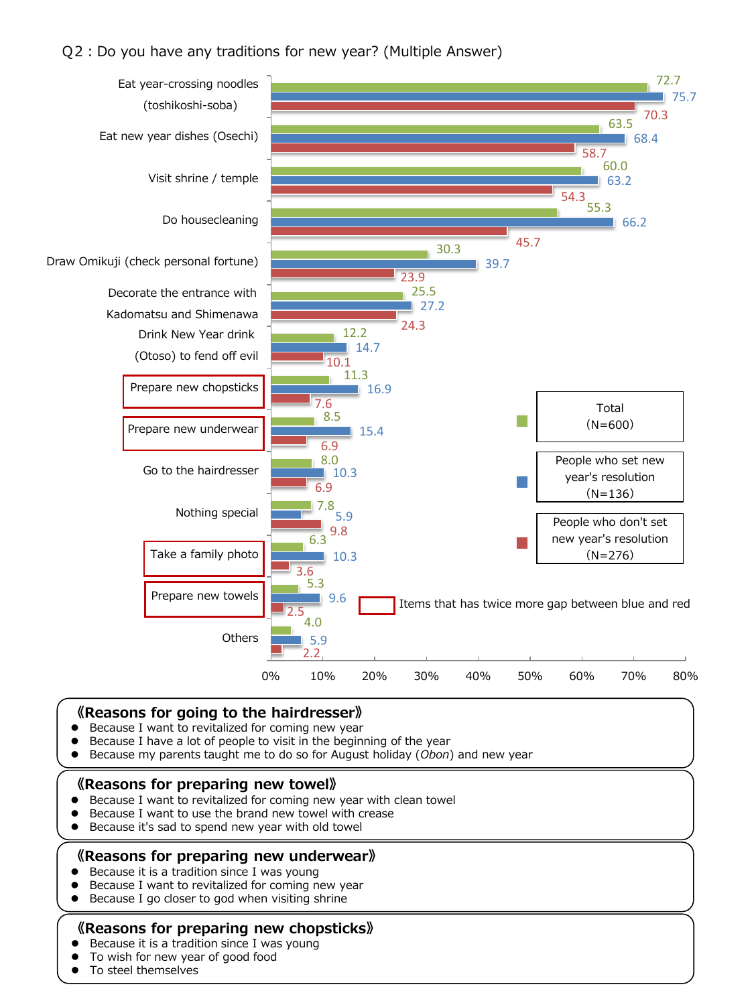### Q2:Do you have any traditions for new year? (Multiple Answer)



### 《Reasons for going to the hairdresser》

- Because I want to revitalized for coming new year
- Because I have a lot of people to visit in the beginning of the year
- Because my parents taught me to do so for August holiday (Obon) and new year

#### 《Reasons for preparing new towel》

- Because I want to revitalized for coming new year with clean towel
- Because I want to use the brand new towel with crease
- Because it's sad to spend new year with old towel

### 《Reasons for preparing new underwear》

- Because it is a tradition since I was young
- Because I want to revitalized for coming new year
- Because I go closer to god when visiting shrine

### 《Reasons for preparing new chopsticks》

- Because it is a tradition since I was young
- To wish for new year of good food
- To steel themselves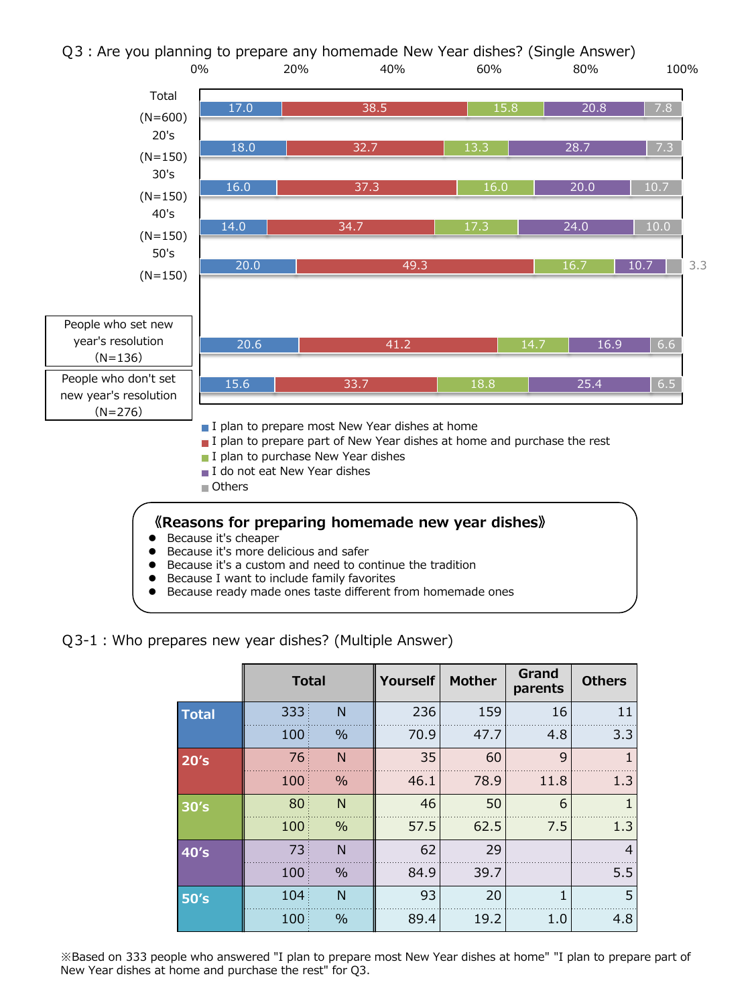

- Because I want to include family favorites
- Because ready made ones taste different from homemade ones

Q3-1:Who prepares new year dishes? (Multiple Answer)

|              | <b>Total</b> |      | <b>Yourself</b> | <b>Mother</b> | Grand<br>parents | <b>Others</b>  |
|--------------|--------------|------|-----------------|---------------|------------------|----------------|
| <b>Total</b> | 333          | N    | 236             | 159           | 16               | 11             |
|              | 100          | $\%$ | 70.9            | 47.7          | 4.8              | 3.3            |
| 20's         | 76           | N    | 35              | 60            | 9                |                |
|              | 100          | $\%$ | 46.1            | 78.9          | 11.8             | 1.3            |
| 30's         | 80           | N    | 46              | 50            | 6                | 1              |
|              | 100          | $\%$ | 57.5            | 62.5          | 7.5              | 1.3            |
| 40's         | 73           | N    | 62              | 29            |                  | $\overline{4}$ |
|              | 100          | $\%$ | 84.9            | 39.7          |                  | 5.5            |
| 50's         | 104          | N    | 93              | 20            | 1                | 5              |
|              | 100          | $\%$ | 89.4            | 19.2          | 1.0              | 4.8            |

※Based on 333 people who answered "I plan to prepare most New Year dishes at home" "I plan to prepare part of New Year dishes at home and purchase the rest" for Q3.